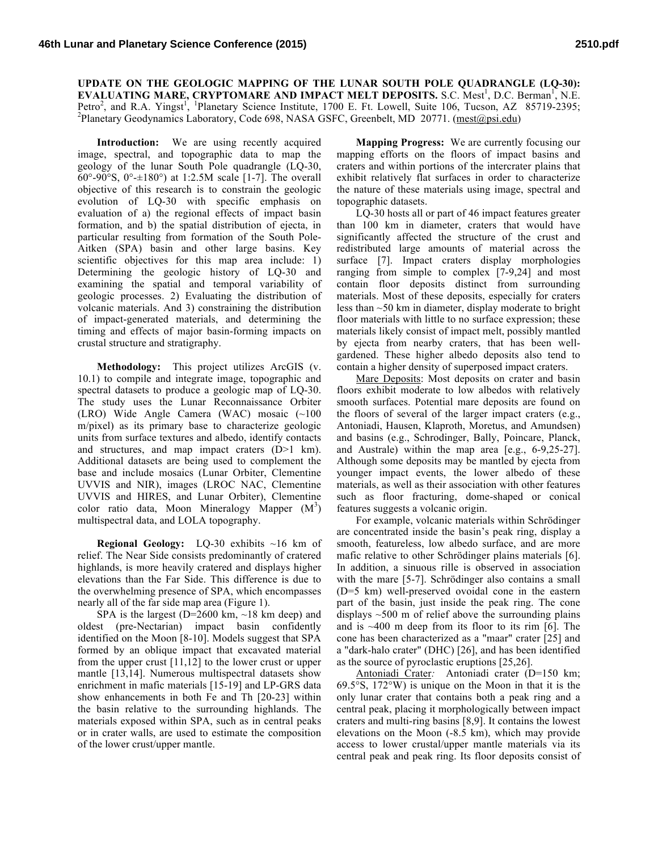**UPDATE ON THE GEOLOGIC MAPPING OF THE LUNAR SOUTH POLE QUADRANGLE (LQ-30): EVALUATING MARE, CRYPTOMARE AND IMPACT MELT DEPOSITS.** S.C. Mest<sup>1</sup>, D.C. Berman<sup>1</sup>, N.E. Petro<sup>2</sup>, and R.A. Yingst<sup>1</sup>, <sup>1</sup>Planetary Science Institute, 1700 E. Ft. Lowell, Suite 106, Tucson, AZ 85719-2395;<br><sup>2</sup>Planetary Goodynamics Laboratory, Code 608, NASA GSEC Greenbelt MD 20771, (meet@ngi.edu) <sup>2</sup>Planetary Geodynamics Laboratory, Code 698, NASA GSFC, Greenbelt, MD 20771. (mest@psi.edu)

**Introduction:** We are using recently acquired image, spectral, and topographic data to map the geology of the lunar South Pole quadrangle (LQ-30, 60°-90°S, 0°-±180°) at 1:2.5M scale [1-7]. The overall objective of this research is to constrain the geologic evolution of LQ-30 with specific emphasis on evaluation of a) the regional effects of impact basin formation, and b) the spatial distribution of ejecta, in particular resulting from formation of the South Pole-Aitken (SPA) basin and other large basins. Key scientific objectives for this map area include: 1) Determining the geologic history of LQ-30 and examining the spatial and temporal variability of geologic processes. 2) Evaluating the distribution of volcanic materials. And 3) constraining the distribution of impact-generated materials, and determining the timing and effects of major basin-forming impacts on crustal structure and stratigraphy.

**Methodology:** This project utilizes ArcGIS (v. 10.1) to compile and integrate image, topographic and spectral datasets to produce a geologic map of LQ-30. The study uses the Lunar Reconnaissance Orbiter (LRO) Wide Angle Camera (WAC) mosaic (~100 m/pixel) as its primary base to characterize geologic units from surface textures and albedo, identify contacts and structures, and map impact craters (D>1 km). Additional datasets are being used to complement the base and include mosaics (Lunar Orbiter, Clementine UVVIS and NIR), images (LROC NAC, Clementine UVVIS and HIRES, and Lunar Orbiter), Clementine color ratio data, Moon Mineralogy Mapper  $(M<sup>3</sup>)$ multispectral data, and LOLA topography.

**Regional Geology:** LQ-30 exhibits ~16 km of relief. The Near Side consists predominantly of cratered highlands, is more heavily cratered and displays higher elevations than the Far Side. This difference is due to the overwhelming presence of SPA, which encompasses nearly all of the far side map area (Figure 1).

SPA is the largest (D=2600 km,  $\sim$ 18 km deep) and oldest (pre-Nectarian) impact basin confidently identified on the Moon [8-10]. Models suggest that SPA formed by an oblique impact that excavated material from the upper crust [11,12] to the lower crust or upper mantle [13,14]. Numerous multispectral datasets show enrichment in mafic materials [15-19] and LP-GRS data show enhancements in both Fe and Th [20-23] within the basin relative to the surrounding highlands. The materials exposed within SPA, such as in central peaks or in crater walls, are used to estimate the composition of the lower crust/upper mantle.

**Mapping Progress:** We are currently focusing our mapping efforts on the floors of impact basins and craters and within portions of the intercrater plains that exhibit relatively flat surfaces in order to characterize the nature of these materials using image, spectral and topographic datasets.

LQ-30 hosts all or part of 46 impact features greater than 100 km in diameter, craters that would have significantly affected the structure of the crust and redistributed large amounts of material across the surface [7]. Impact craters display morphologies ranging from simple to complex [7-9,24] and most contain floor deposits distinct from surrounding materials. Most of these deposits, especially for craters less than ~50 km in diameter, display moderate to bright floor materials with little to no surface expression; these materials likely consist of impact melt, possibly mantled by ejecta from nearby craters, that has been wellgardened. These higher albedo deposits also tend to contain a higher density of superposed impact craters.

Mare Deposits: Most deposits on crater and basin floors exhibit moderate to low albedos with relatively smooth surfaces. Potential mare deposits are found on the floors of several of the larger impact craters (e.g., Antoniadi, Hausen, Klaproth, Moretus, and Amundsen) and basins (e.g., Schrodinger, Bally, Poincare, Planck, and Australe) within the map area [e.g., 6-9,25-27]. Although some deposits may be mantled by ejecta from younger impact events, the lower albedo of these materials, as well as their association with other features such as floor fracturing, dome-shaped or conical features suggests a volcanic origin.

For example, volcanic materials within Schrödinger are concentrated inside the basin's peak ring, display a smooth, featureless, low albedo surface, and are more mafic relative to other Schrödinger plains materials [6]. In addition, a sinuous rille is observed in association with the mare [5-7]. Schrödinger also contains a small (D=5 km) well-preserved ovoidal cone in the eastern part of the basin, just inside the peak ring. The cone displays  $\sim$  500 m of relief above the surrounding plains and is  $\sim$ 400 m deep from its floor to its rim [6]. The cone has been characterized as a "maar" crater [25] and a "dark-halo crater" (DHC) [26], and has been identified as the source of pyroclastic eruptions [25,26].

Antoniadi Crater*:* Antoniadi crater (D=150 km; 69.5°S, 172°W) is unique on the Moon in that it is the only lunar crater that contains both a peak ring and a central peak, placing it morphologically between impact craters and multi-ring basins [8,9]. It contains the lowest elevations on the Moon (-8.5 km), which may provide access to lower crustal/upper mantle materials via its central peak and peak ring. Its floor deposits consist of